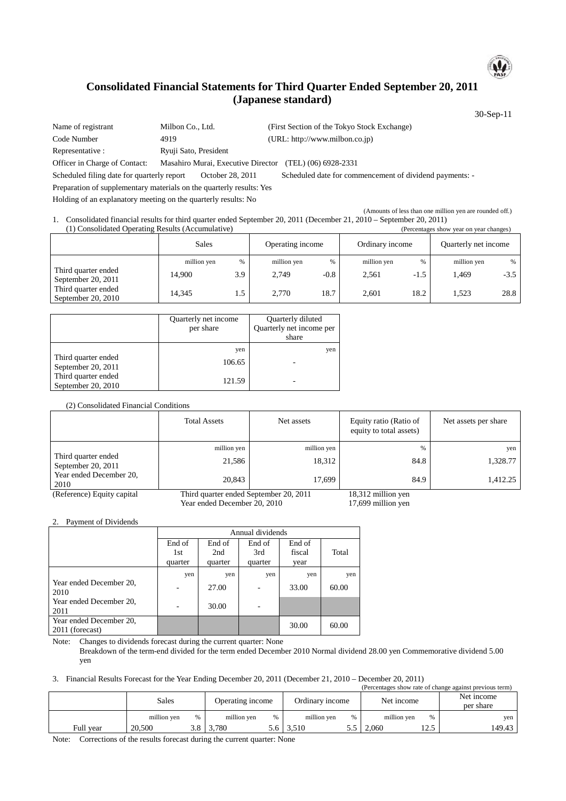

# **Consolidated Financial Statements for Third Quarter Ended September 20, 2011 (Japanese standard)**

30-Sep-11

Name of registrant Milbon Co., Ltd. (First Section of the Tokyo Stock Exchange) Code Number 4919 (URL: http://www.milbon.co.jp) Representative : Ryuji Sato, President Officer in Charge of Contact: Masahiro Murai, Executive Director (TEL) (06) 6928-2331 Scheduled filing date for quarterly report October 28, 2011 Scheduled date for commencement of dividend payments: - Preparation of supplementary materials on the quarterly results: Yes Holding of an explanatory meeting on the quarterly results: No

(Amounts of less than one million yen are rounded off.) 1. Consolidated financial results for third quarter ended September 20, 2011 (December 21, 2010 – September 20, 2011) (1) Consolidated Operating Results (Accumulative) (Percentages show year on year changes)

|                                             | Sales                 |             | Operating income     |                | Ordinary income      |             | Quarterly net income |             |
|---------------------------------------------|-----------------------|-------------|----------------------|----------------|----------------------|-------------|----------------------|-------------|
| Third quarter ended<br>September 20, 2011   | million yen<br>14.900 | $\%$<br>3.9 | million yen<br>2.749 | $\%$<br>$-0.8$ | million yen<br>2.561 | %<br>$-1.5$ | million yen<br>.469  | %<br>$-3.5$ |
| Third quarter ended<br>September 20, $2010$ | 14.345                | 1.5         | 2.770                | 18.7           | 2.601                | 18.2        | 1.523                | 28.8        |

|                                           | Quarterly net income<br>per share | Quarterly diluted<br>Quarterly net income per<br>share |
|-------------------------------------------|-----------------------------------|--------------------------------------------------------|
| Third quarter ended<br>September 20, 2011 | yen<br>106.65                     | yen                                                    |
| Third quarter ended<br>September 20, 2010 | 121.59                            |                                                        |

#### (2) Consolidated Financial Conditions

|                                           | <b>Total Assets</b>          | Net assets                             | Equity ratio (Ratio of<br>equity to total assets) | Net assets per share |
|-------------------------------------------|------------------------------|----------------------------------------|---------------------------------------------------|----------------------|
|                                           | million yen                  | million yen                            | %                                                 | yen                  |
| Third quarter ended<br>September 20, 2011 | 21.586                       | 18,312                                 | 84.8                                              | 1,328.77             |
| Year ended December 20,<br>2010           | 20,843                       | 17.699                                 | 84.9                                              | 1,412.25             |
| (Reference) Equity capital                |                              | Third quarter ended September 20, 2011 |                                                   |                      |
|                                           | Year ended December 20, 2010 |                                        | 17,699 million yen                                |                      |

2. Payment of Dividends

| Annual dividends |         |         |        |       |  |
|------------------|---------|---------|--------|-------|--|
| End of           | End of  | End of  | End of |       |  |
| 1st              | 2nd     | 3rd     | fiscal | Total |  |
| quarter          | quarter | quarter | year   |       |  |
| yen              | yen     | yen     | yen    | yen   |  |
|                  | 27.00   |         | 33.00  | 60.00 |  |
|                  | 30.00   |         |        |       |  |
|                  |         |         | 30.00  | 60.00 |  |
|                  |         |         |        |       |  |

Note: Changes to dividends forecast during the current quarter: None

Breakdown of the term-end divided for the term ended December 2010 Normal dividend 28.00 yen Commemorative dividend 5.00 yen

3. Financial Results Forecast for the Year Ending December 20, 2011 (December 21, 2010 – December 20, 2011)

| (Percentages show rate of change against previous term) |             |      |                  |      |                 |               |             |                |                         |
|---------------------------------------------------------|-------------|------|------------------|------|-----------------|---------------|-------------|----------------|-------------------------|
|                                                         | Sales       |      | Operating income |      | Ordinary income |               | Net income  |                | Net income<br>per share |
|                                                         | million yen | $\%$ | million ven      | $\%$ | million ven     | $\frac{0}{0}$ | million ven | %              | yen 1                   |
| Full vear                                               | 20.500      | 3.8  | 3.780            | 5.6  | 3.510           | 5.5           | 2.060       | 1つ ち<br>ن که 1 | 149.43                  |

Note: Corrections of the results forecast during the current quarter: None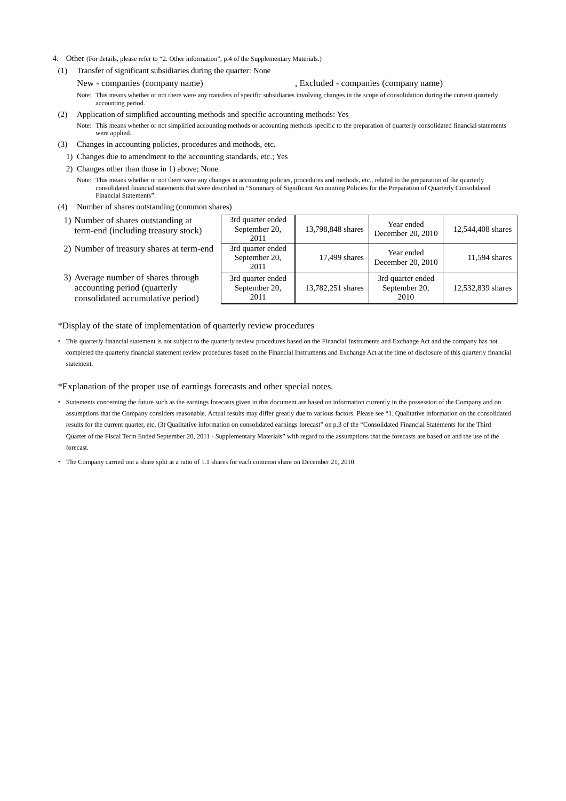- 4. Other (For details, please refer to "2. Other information", p.4 of the Supplementary Materials.)
- (1) Transfer of significant subsidiaries during the quarter: None
	- New companies (company name) , Excluded companies (company name) Note: This means whether or not there were any transfers of specific subsidiaries involving changes in the scope of consolidation during the current quarterly accounting period.
- (2) Application of simplified accounting methods and specific accounting methods: Yes Note: This means whether or not simplified accounting methods or accounting methods specific to the preparation of quarterly consolidated financial statements were applied.
- (3) Changes in accounting policies, procedures and methods, etc.
	- 1) Changes due to amendment to the accounting standards, etc.; Yes
	- 2) Changes other than those in 1) above; None
		- Note: This means whether or not there were any changes in accounting policies, procedures and methods, etc., related to the preparation of the quarterly consolidated financial statements that were described in "Summary of Significant Accounting Policies for the Preparation of Quarterly Consolidated Financial Statements".
- (4) Number of shares outstanding (common shares)
- 1) Number of shares outstanding at term-end (including treasury stock)
- 2) Number of treasury shares at term-end
- 3) Average number of shares through accounting period (quarterly consolidated accumulative period)

| 3rd quarter ended<br>September 20,<br>2011 | 13,798,848 shares | Year ended<br>December 20, 2010            | 12,544,408 shares |
|--------------------------------------------|-------------------|--------------------------------------------|-------------------|
| 3rd quarter ended<br>September 20,<br>2011 | 17,499 shares     | Year ended<br>December 20, 2010            | 11,594 shares     |
| 3rd quarter ended<br>September 20,<br>2011 | 13,782,251 shares | 3rd quarter ended<br>September 20,<br>2010 | 12,532,839 shares |

\*Display of the state of implementation of quarterly review procedures

 This quarterly financial statement is not subject to the quarterly review procedures based on the Financial Instruments and Exchange Act and the company has not completed the quarterly financial statement review procedures based on the Financial Instruments and Exchange Act at the time of disclosure of this quarterly financial statement.

\*Explanation of the proper use of earnings forecasts and other special notes.

- Statements concerning the future such as the earnings forecasts given in this document are based on information currently in the possession of the Company and on assumptions that the Company considers reasonable. Actual results may differ greatly due to various factors. Please see "1. Qualitative information on the consolidated results for the current quarter, etc. (3) Qualitative information on consolidated earnings forecast" on p.3 of the "Consolidated Financial Statements for the Third Quarter of the Fiscal Term Ended September 20, 2011 - Supplementary Materials" with regard to the assumptions that the forecasts are based on and the use of the forecast.
- The Company carried out a share split at a ratio of 1.1 shares for each common share on December 21, 2010.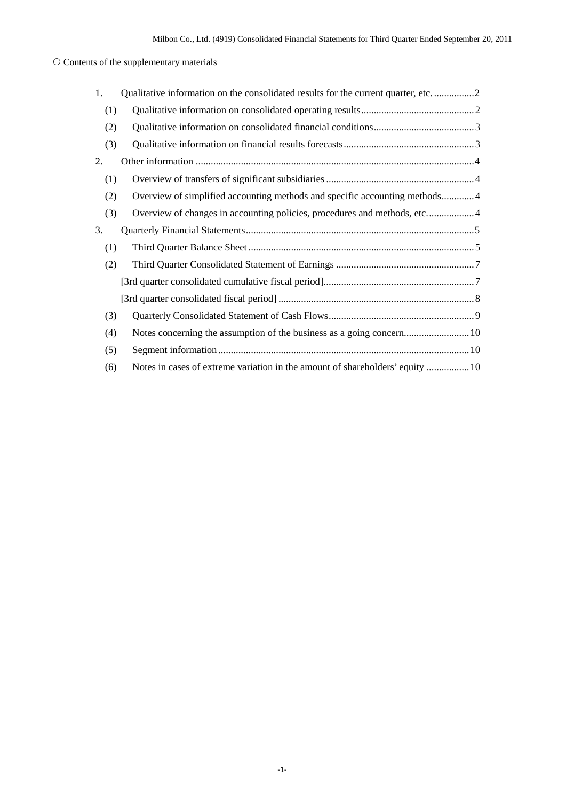## $\bigcirc$  Contents of the supplementary materials

| 1.  | Qualitative information on the consolidated results for the current quarter, etc2 |
|-----|-----------------------------------------------------------------------------------|
| (1) |                                                                                   |
| (2) |                                                                                   |
| (3) |                                                                                   |
| 2.  |                                                                                   |
| (1) |                                                                                   |
| (2) | Overview of simplified accounting methods and specific accounting methods4        |
| (3) | Overview of changes in accounting policies, procedures and methods, etc4          |
| 3.  |                                                                                   |
| (1) |                                                                                   |
| (2) |                                                                                   |
|     |                                                                                   |
|     |                                                                                   |
| (3) |                                                                                   |
| (4) |                                                                                   |
| (5) |                                                                                   |
| (6) | Notes in cases of extreme variation in the amount of shareholders' equity  10     |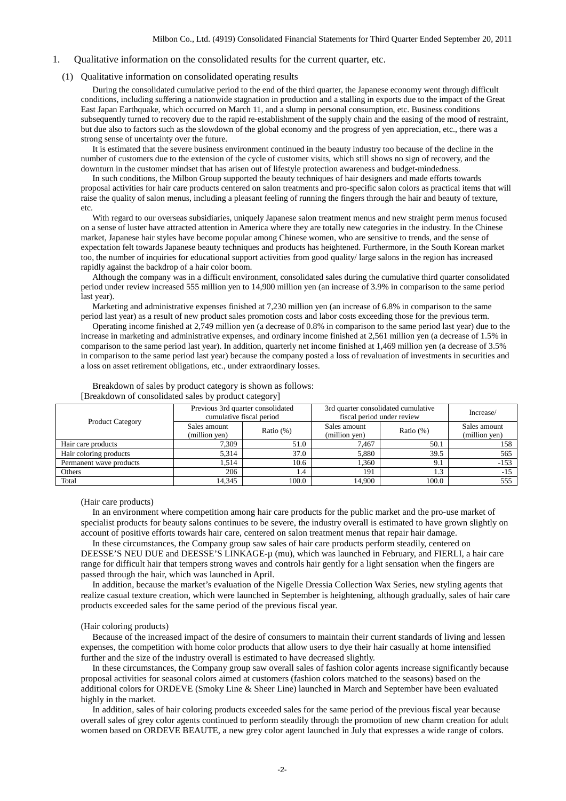#### <span id="page-3-0"></span>1. Qualitative information on the consolidated results for the current quarter, etc.

#### <span id="page-3-1"></span>(1) Qualitative information on consolidated operating results

During the consolidated cumulative period to the end of the third quarter, the Japanese economy went through difficult conditions, including suffering a nationwide stagnation in production and a stalling in exports due to the impact of the Great East Japan Earthquake, which occurred on March 11, and a slump in personal consumption, etc. Business conditions subsequently turned to recovery due to the rapid re-establishment of the supply chain and the easing of the mood of restraint, but due also to factors such as the slowdown of the global economy and the progress of yen appreciation, etc., there was a strong sense of uncertainty over the future.

It is estimated that the severe business environment continued in the beauty industry too because of the decline in the number of customers due to the extension of the cycle of customer visits, which still shows no sign of recovery, and the downturn in the customer mindset that has arisen out of lifestyle protection awareness and budget-mindedness.

In such conditions, the Milbon Group supported the beauty techniques of hair designers and made efforts towards proposal activities for hair care products centered on salon treatments and pro-specific salon colors as practical items that will raise the quality of salon menus, including a pleasant feeling of running the fingers through the hair and beauty of texture, etc.

With regard to our overseas subsidiaries, uniquely Japanese salon treatment menus and new straight perm menus focused on a sense of luster have attracted attention in America where they are totally new categories in the industry. In the Chinese market, Japanese hair styles have become popular among Chinese women, who are sensitive to trends, and the sense of expectation felt towards Japanese beauty techniques and products has heightened. Furthermore, in the South Korean market too, the number of inquiries for educational support activities from good quality/ large salons in the region has increased rapidly against the backdrop of a hair color boom.

Although the company was in a difficult environment, consolidated sales during the cumulative third quarter consolidated period under review increased 555 million yen to 14,900 million yen (an increase of 3.9% in comparison to the same period last year).

Marketing and administrative expenses finished at 7,230 million yen (an increase of 6.8% in comparison to the same period last year) as a result of new product sales promotion costs and labor costs exceeding those for the previous term.

Operating income finished at 2,749 million yen (a decrease of 0.8% in comparison to the same period last year) due to the increase in marketing and administrative expenses, and ordinary income finished at 2,561 million yen (a decrease of 1.5% in comparison to the same period last year). In addition, quarterly net income finished at 1,469 million yen (a decrease of 3.5% in comparison to the same period last year) because the company posted a loss of revaluation of investments in securities and a loss on asset retirement obligations, etc., under extraordinary losses.

|                         |               | Previous 3rd quarter consolidated | 3rd quarter consolidated cumulative | Increase/    |               |
|-------------------------|---------------|-----------------------------------|-------------------------------------|--------------|---------------|
| <b>Product Category</b> |               | cumulative fiscal period          | fiscal period under review          |              |               |
|                         | Sales amount  | Ratio $(\%)$                      | Sales amount                        | Ratio $(\%)$ | Sales amount  |
|                         | (million yen) |                                   | (million yen)                       |              | (million yen) |
| Hair care products      | 7.309         | 51.0                              | 7.467                               | 50.1         | 158           |
| Hair coloring products  | 5.314         | 37.0                              | 5,880                               | 39.5         | 565           |
| Permanent wave products | 1.514         | 10.6                              | 1.360                               | 9.1          | $-153$        |
| Others                  | 206           | 1.4                               | 191                                 | 1.3          | $-15$         |
| Total                   | 14.345        | 100.0                             | 14,900                              | 100.0        | 555           |

Breakdown of sales by product category is shown as follows: [Breakdown of consolidated sales by product category]

#### (Hair care products)

In an environment where competition among hair care products for the public market and the pro-use market of specialist products for beauty salons continues to be severe, the industry overall is estimated to have grown slightly on account of positive efforts towards hair care, centered on salon treatment menus that repair hair damage.

In these circumstances, the Company group saw sales of hair care products perform steadily, centered on DEESSE'S NEU DUE and DEESSE'S LINKAGE-µ (mu), which was launched in February, and FIERLI, a hair care range for difficult hair that tempers strong waves and controls hair gently for a light sensation when the fingers are passed through the hair, which was launched in April.

In addition, because the market's evaluation of the Nigelle Dressia Collection Wax Series, new styling agents that realize casual texture creation, which were launched in September is heightening, although gradually, sales of hair care products exceeded sales for the same period of the previous fiscal year.

#### (Hair coloring products)

Because of the increased impact of the desire of consumers to maintain their current standards of living and lessen expenses, the competition with home color products that allow users to dye their hair casually at home intensified further and the size of the industry overall is estimated to have decreased slightly.

In these circumstances, the Company group saw overall sales of fashion color agents increase significantly because proposal activities for seasonal colors aimed at customers (fashion colors matched to the seasons) based on the additional colors for ORDEVE (Smoky Line & Sheer Line) launched in March and September have been evaluated highly in the market.

In addition, sales of hair coloring products exceeded sales for the same period of the previous fiscal year because overall sales of grey color agents continued to perform steadily through the promotion of new charm creation for adult women based on ORDEVE BEAUTE, a new grey color agent launched in July that expresses a wide range of colors.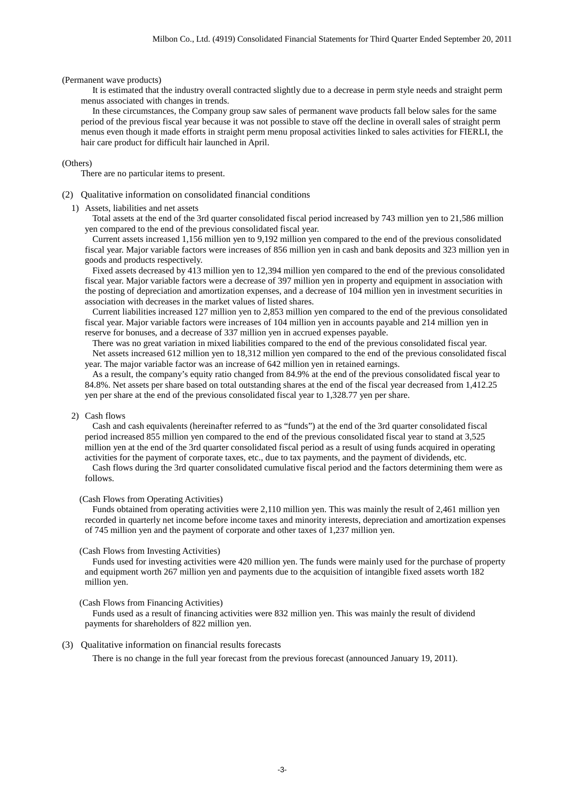(Permanent wave products)

It is estimated that the industry overall contracted slightly due to a decrease in perm style needs and straight perm menus associated with changes in trends.

In these circumstances, the Company group saw sales of permanent wave products fall below sales for the same period of the previous fiscal year because it was not possible to stave off the decline in overall sales of straight perm menus even though it made efforts in straight perm menu proposal activities linked to sales activities for FIERLI, the hair care product for difficult hair launched in April.

#### (Others)

There are no particular items to present.

- <span id="page-4-0"></span>(2) Qualitative information on consolidated financial conditions
	- 1) Assets, liabilities and net assets

Total assets at the end of the 3rd quarter consolidated fiscal period increased by 743 million yen to 21,586 million yen compared to the end of the previous consolidated fiscal year.

Current assets increased 1,156 million yen to 9,192 million yen compared to the end of the previous consolidated fiscal year. Major variable factors were increases of 856 million yen in cash and bank deposits and 323 million yen in goods and products respectively.

Fixed assets decreased by 413 million yen to 12,394 million yen compared to the end of the previous consolidated fiscal year. Major variable factors were a decrease of 397 million yen in property and equipment in association with the posting of depreciation and amortization expenses, and a decrease of 104 million yen in investment securities in association with decreases in the market values of listed shares.

Current liabilities increased 127 million yen to 2,853 million yen compared to the end of the previous consolidated fiscal year. Major variable factors were increases of 104 million yen in accounts payable and 214 million yen in reserve for bonuses, and a decrease of 337 million yen in accrued expenses payable.

There was no great variation in mixed liabilities compared to the end of the previous consolidated fiscal year. Net assets increased 612 million yen to 18,312 million yen compared to the end of the previous consolidated fiscal year. The major variable factor was an increase of 642 million yen in retained earnings.

As a result, the company's equity ratio changed from 84.9% at the end of the previous consolidated fiscal year to 84.8%. Net assets per share based on total outstanding shares at the end of the fiscal year decreased from 1,412.25 yen per share at the end of the previous consolidated fiscal year to 1,328.77 yen per share.

### 2) Cash flows

Cash and cash equivalents (hereinafter referred to as "funds") at the end of the 3rd quarter consolidated fiscal period increased 855 million yen compared to the end of the previous consolidated fiscal year to stand at 3,525 million yen at the end of the 3rd quarter consolidated fiscal period as a result of using funds acquired in operating activities for the payment of corporate taxes, etc., due to tax payments, and the payment of dividends, etc. Cash flows during the 3rd quarter consolidated cumulative fiscal period and the factors determining them were as follows.

#### (Cash Flows from Operating Activities)

Funds obtained from operating activities were 2,110 million yen. This was mainly the result of 2,461 million yen recorded in quarterly net income before income taxes and minority interests, depreciation and amortization expenses of 745 million yen and the payment of corporate and other taxes of 1,237 million yen.

#### (Cash Flows from Investing Activities)

Funds used for investing activities were 420 million yen. The funds were mainly used for the purchase of property and equipment worth 267 million yen and payments due to the acquisition of intangible fixed assets worth 182 million yen.

### (Cash Flows from Financing Activities)

Funds used as a result of financing activities were 832 million yen. This was mainly the result of dividend payments for shareholders of 822 million yen.

#### <span id="page-4-1"></span>(3) Qualitative information on financial results forecasts

There is no change in the full year forecast from the previous forecast (announced January 19, 2011).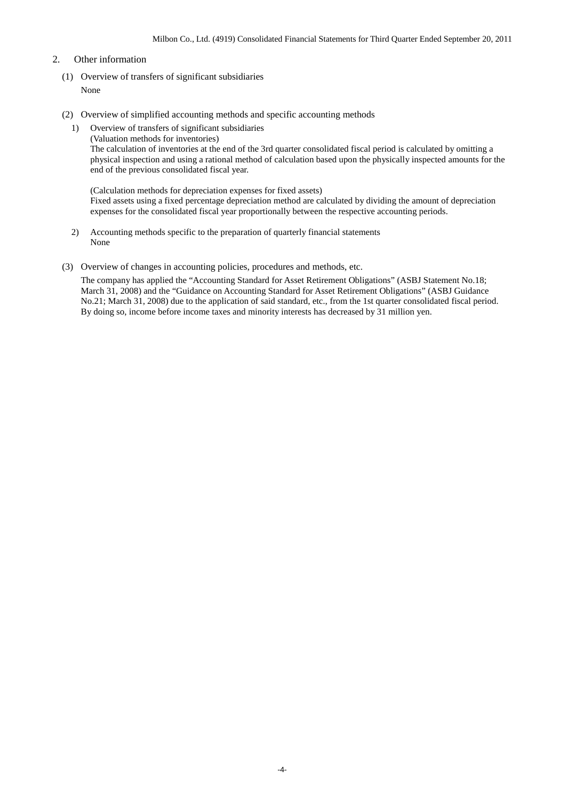### <span id="page-5-0"></span>2. Other information

- <span id="page-5-1"></span>(1) Overview of transfers of significant subsidiaries None
- <span id="page-5-2"></span>(2) Overview of simplified accounting methods and specific accounting methods
	- 1) Overview of transfers of significant subsidiaries
		- (Valuation methods for inventories)

The calculation of inventories at the end of the 3rd quarter consolidated fiscal period is calculated by omitting a physical inspection and using a rational method of calculation based upon the physically inspected amounts for the end of the previous consolidated fiscal year.

(Calculation methods for depreciation expenses for fixed assets) Fixed assets using a fixed percentage depreciation method are calculated by dividing the amount of depreciation expenses for the consolidated fiscal year proportionally between the respective accounting periods.

- 2) Accounting methods specific to the preparation of quarterly financial statements None
- <span id="page-5-3"></span>(3) Overview of changes in accounting policies, procedures and methods, etc.

The company has applied the "Accounting Standard for Asset Retirement Obligations" (ASBJ Statement No.18; March 31, 2008) and the "Guidance on Accounting Standard for Asset Retirement Obligations" (ASBJ Guidance No.21; March 31, 2008) due to the application of said standard, etc., from the 1st quarter consolidated fiscal period. By doing so, income before income taxes and minority interests has decreased by 31 million yen.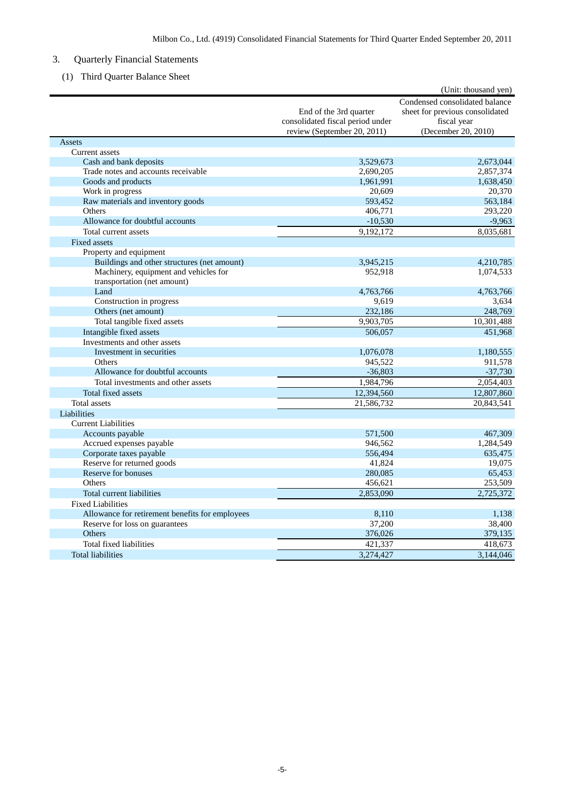## <span id="page-6-0"></span>3. Quarterly Financial Statements

<span id="page-6-1"></span>(1) Third Quarter Balance Sheet

|                                                    |                                                                                           | (Unit: thousand yen)                                                                                    |
|----------------------------------------------------|-------------------------------------------------------------------------------------------|---------------------------------------------------------------------------------------------------------|
|                                                    | End of the 3rd quarter<br>consolidated fiscal period under<br>review (September 20, 2011) | Condensed consolidated balance<br>sheet for previous consolidated<br>fiscal year<br>(December 20, 2010) |
| Assets                                             |                                                                                           |                                                                                                         |
| Current assets                                     |                                                                                           |                                                                                                         |
| Cash and bank deposits                             | 3,529,673                                                                                 | 2,673,044                                                                                               |
| Trade notes and accounts receivable                | 2,690,205                                                                                 | 2,857,374                                                                                               |
| Goods and products                                 | 1,961,991                                                                                 | 1,638,450                                                                                               |
| Work in progress                                   | 20,609                                                                                    | 20,370                                                                                                  |
| Raw materials and inventory goods<br><b>Others</b> | 593,452<br>406,771                                                                        | 563,184<br>293,220                                                                                      |
| Allowance for doubtful accounts                    |                                                                                           | $-9,963$                                                                                                |
|                                                    | $-10,530$<br>9,192,172                                                                    |                                                                                                         |
| Total current assets                               |                                                                                           | 8,035,681                                                                                               |
| Fixed assets<br>Property and equipment             |                                                                                           |                                                                                                         |
| Buildings and other structures (net amount)        | 3,945,215                                                                                 | 4,210,785                                                                                               |
| Machinery, equipment and vehicles for              | 952,918                                                                                   | 1,074,533                                                                                               |
| transportation (net amount)                        |                                                                                           |                                                                                                         |
| Land                                               | 4,763,766                                                                                 | 4,763,766                                                                                               |
| Construction in progress                           | 9,619                                                                                     | 3,634                                                                                                   |
| Others (net amount)                                | 232,186                                                                                   | 248,769                                                                                                 |
| Total tangible fixed assets                        | 9,903,705                                                                                 | 10,301,488                                                                                              |
| Intangible fixed assets                            | 506,057                                                                                   | 451,968                                                                                                 |
| Investments and other assets                       |                                                                                           |                                                                                                         |
| Investment in securities                           | 1,076,078                                                                                 | 1,180,555                                                                                               |
| Others                                             | 945,522                                                                                   | 911,578                                                                                                 |
| Allowance for doubtful accounts                    | $-36,803$                                                                                 | $-37,730$                                                                                               |
| Total investments and other assets                 | 1,984,796                                                                                 | 2,054,403                                                                                               |
| Total fixed assets                                 | 12,394,560                                                                                | 12,807,860                                                                                              |
| Total assets                                       | 21,586,732                                                                                | 20,843,541                                                                                              |
| Liabilities                                        |                                                                                           |                                                                                                         |
| <b>Current Liabilities</b>                         |                                                                                           |                                                                                                         |
| Accounts payable                                   | 571,500                                                                                   | 467,309                                                                                                 |
| Accrued expenses payable                           | 946,562                                                                                   | 1,284,549                                                                                               |
| Corporate taxes payable                            | 556,494                                                                                   | 635,475                                                                                                 |
| Reserve for returned goods                         | 41,824                                                                                    | 19.075                                                                                                  |
| Reserve for bonuses                                | 280,085                                                                                   | 65,453                                                                                                  |
| Others                                             | 456,621                                                                                   | 253,509                                                                                                 |
| Total current liabilities                          | 2,853,090                                                                                 | 2,725,372                                                                                               |
| <b>Fixed Liabilities</b>                           |                                                                                           |                                                                                                         |
| Allowance for retirement benefits for employees    | 8,110                                                                                     | 1.138                                                                                                   |
| Reserve for loss on guarantees                     | 37,200                                                                                    | 38,400                                                                                                  |
| <b>Others</b>                                      | 376,026                                                                                   | 379,135                                                                                                 |
| Total fixed liabilities                            | 421,337                                                                                   | 418,673                                                                                                 |
| <b>Total liabilities</b>                           | 3,274,427                                                                                 | 3,144,046                                                                                               |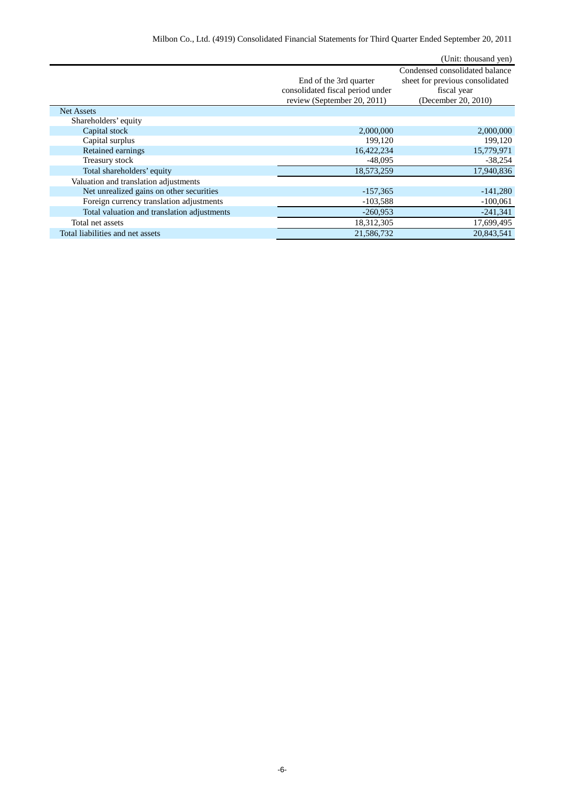|                                  | (Unit: thousand yen)            |
|----------------------------------|---------------------------------|
|                                  | Condensed consolidated balance  |
| End of the 3rd quarter           | sheet for previous consolidated |
| consolidated fiscal period under | fiscal year                     |
|                                  | (December 20, 2010)             |
|                                  |                                 |
|                                  |                                 |
| 2,000,000                        | 2,000,000                       |
| 199.120                          | 199,120                         |
| 16,422,234                       | 15,779,971                      |
| $-48,095$                        | $-38,254$                       |
| 18,573,259                       | 17,940,836                      |
|                                  |                                 |
| $-157,365$                       | $-141,280$                      |
| $-103,588$                       | $-100,061$                      |
| $-260,953$                       | $-241,341$                      |
| 18,312,305                       | 17,699,495                      |
| 21,586,732                       | 20,843,541                      |
|                                  | review (September 20, 2011)     |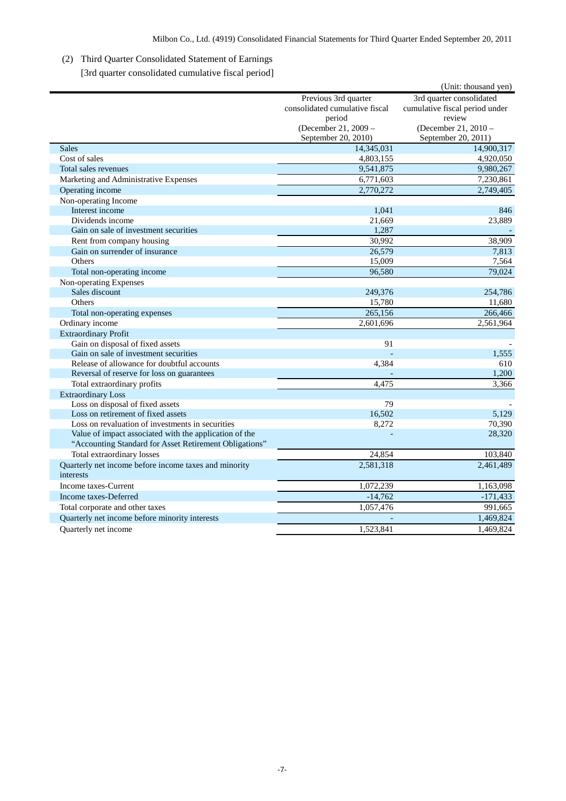# <span id="page-8-0"></span>(2) Third Quarter Consolidated Statement of Earnings

[3rd quarter consolidated cumulative fiscal period]

<span id="page-8-1"></span>

|                                                                    |                                | (Unit: thousand yen)           |
|--------------------------------------------------------------------|--------------------------------|--------------------------------|
|                                                                    | Previous 3rd quarter           | 3rd quarter consolidated       |
|                                                                    | consolidated cumulative fiscal | cumulative fiscal period under |
|                                                                    | period                         | review                         |
|                                                                    | (December 21, 2009 -           | (December 21, 2010 -           |
|                                                                    | September 20, 2010)            | September 20, 2011)            |
| <b>Sales</b>                                                       | 14,345,031                     | 14,900,317                     |
| Cost of sales                                                      | 4,803,155                      | 4,920,050                      |
| Total sales revenues                                               | 9,541,875                      | 9,980,267                      |
| Marketing and Administrative Expenses                              | 6,771,603                      | 7,230,861                      |
| Operating income                                                   | 2,770,272                      | 2,749,405                      |
| Non-operating Income                                               |                                |                                |
| Interest income                                                    | 1,041                          | 846                            |
| Dividends income                                                   | 21,669                         | 23,889                         |
| Gain on sale of investment securities                              | 1,287                          |                                |
| Rent from company housing                                          | 30,992                         | 38,909                         |
| Gain on surrender of insurance                                     | 26,579                         | 7,813                          |
| Others                                                             | 15,009                         | 7,564                          |
| Total non-operating income                                         | 96,580                         | 79,024                         |
| Non-operating Expenses                                             |                                |                                |
| Sales discount                                                     | 249,376                        | 254,786                        |
| Others                                                             | 15,780                         | 11,680                         |
| Total non-operating expenses                                       | 265,156                        | 266,466                        |
| Ordinary income                                                    | 2,601,696                      | 2,561,964                      |
| <b>Extraordinary Profit</b>                                        |                                |                                |
| Gain on disposal of fixed assets                                   | 91                             |                                |
| Gain on sale of investment securities                              |                                | 1,555                          |
| Release of allowance for doubtful accounts                         | 4,384                          | 610                            |
| Reversal of reserve for loss on guarantees                         |                                | 1.200                          |
| Total extraordinary profits                                        | 4,475                          | 3,366                          |
| <b>Extraordinary Loss</b>                                          |                                |                                |
| Loss on disposal of fixed assets                                   | 79                             |                                |
| Loss on retirement of fixed assets                                 | 16,502                         | 5,129                          |
| Loss on revaluation of investments in securities                   | 8,272                          | 70,390                         |
| Value of impact associated with the application of the             |                                | 28,320                         |
| "Accounting Standard for Asset Retirement Obligations"             |                                |                                |
| Total extraordinary losses                                         | 24,854                         | 103,840                        |
| Quarterly net income before income taxes and minority<br>interests | 2,581,318                      | 2,461,489                      |
| Income taxes-Current                                               | 1,072,239                      | 1,163,098                      |
| Income taxes-Deferred                                              | $-14,762$                      | $-171,433$                     |
| Total corporate and other taxes                                    | 1,057,476                      | 991,665                        |
| Quarterly net income before minority interests                     |                                | 1,469,824                      |
| Quarterly net income                                               | 1,523,841                      | 1,469,824                      |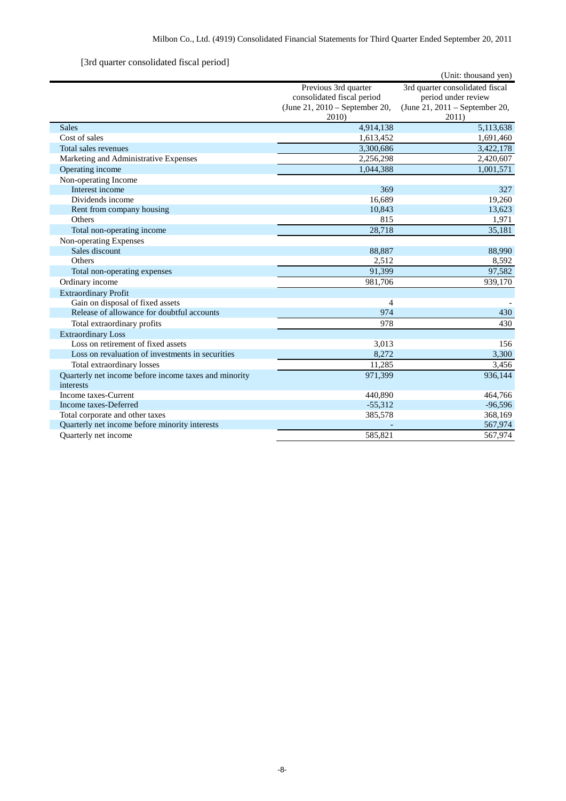## [3rd quarter consolidated fiscal period]

<span id="page-9-0"></span>

|                                                       |                                | (Unit: thousand yen)            |
|-------------------------------------------------------|--------------------------------|---------------------------------|
|                                                       | Previous 3rd quarter           | 3rd quarter consolidated fiscal |
|                                                       | consolidated fiscal period     | period under review             |
|                                                       | (June 21, 2010 – September 20, | (June 21, 2011 – September 20,  |
|                                                       | 2010)                          | 2011)                           |
| <b>Sales</b>                                          | 4,914,138                      | 5,113,638                       |
| Cost of sales                                         | 1,613,452                      | 1,691,460                       |
| Total sales revenues                                  | 3,300,686                      | 3,422,178                       |
| Marketing and Administrative Expenses                 | 2,256,298                      | 2,420,607                       |
| Operating income                                      | 1,044,388                      | 1,001,571                       |
| Non-operating Income                                  |                                |                                 |
| Interest income                                       | 369                            | 327                             |
| Dividends income                                      | 16,689                         | 19,260                          |
| Rent from company housing                             | 10,843                         | 13,623                          |
| Others                                                | 815                            | 1,971                           |
| Total non-operating income                            | 28,718                         | 35,181                          |
| Non-operating Expenses                                |                                |                                 |
| Sales discount                                        | 88,887                         | 88,990                          |
| Others                                                | 2,512                          | 8,592                           |
| Total non-operating expenses                          | 91.399                         | 97,582                          |
| Ordinary income                                       | 981,706                        | 939,170                         |
| <b>Extraordinary Profit</b>                           |                                |                                 |
| Gain on disposal of fixed assets                      | $\overline{4}$                 |                                 |
| Release of allowance for doubtful accounts            | 974                            | 430                             |
| Total extraordinary profits                           | 978                            | 430                             |
| <b>Extraordinary Loss</b>                             |                                |                                 |
| Loss on retirement of fixed assets                    | 3,013                          | 156                             |
| Loss on revaluation of investments in securities      | 8,272                          | 3,300                           |
| Total extraordinary losses                            | 11,285                         | 3,456                           |
| Quarterly net income before income taxes and minority | 971,399                        | 936,144                         |
| interests                                             |                                |                                 |
| Income taxes-Current                                  | 440,890                        | 464,766                         |
| Income taxes-Deferred                                 | $-55,312$                      | $-96,596$                       |
| Total corporate and other taxes                       | 385,578                        | 368,169                         |
| Quarterly net income before minority interests        |                                | 567,974                         |
| <b>Ouarterly</b> net income                           | 585.821                        | 567,974                         |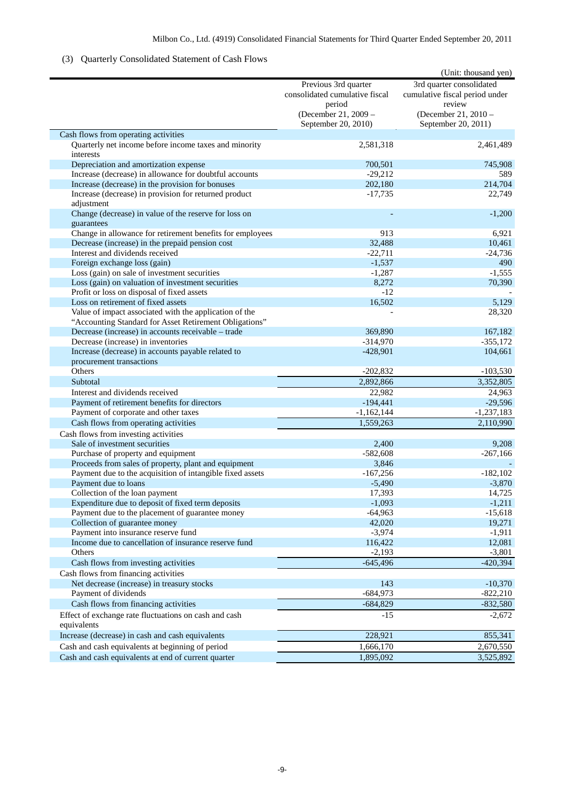## <span id="page-10-0"></span>(3) Quarterly Consolidated Statement of Cash Flows

|                                                                     |                                | (Unit: thousand yen)           |
|---------------------------------------------------------------------|--------------------------------|--------------------------------|
|                                                                     | Previous 3rd quarter           | 3rd quarter consolidated       |
|                                                                     | consolidated cumulative fiscal | cumulative fiscal period under |
|                                                                     | period                         | review                         |
|                                                                     | (December 21, 2009 -           | (December 21, 2010 -           |
|                                                                     | September 20, 2010)            | September 20, 2011)            |
| Cash flows from operating activities                                |                                |                                |
| Quarterly net income before income taxes and minority               | 2,581,318                      | 2,461,489                      |
| interests                                                           |                                |                                |
| Depreciation and amortization expense                               | 700,501                        | 745,908                        |
| Increase (decrease) in allowance for doubtful accounts              | $-29,212$                      | 589                            |
| Increase (decrease) in the provision for bonuses                    | 202,180                        | 214,704                        |
|                                                                     |                                |                                |
| Increase (decrease) in provision for returned product<br>adjustment | $-17,735$                      | 22,749                         |
|                                                                     |                                |                                |
| Change (decrease) in value of the reserve for loss on               |                                | $-1,200$                       |
| guarantees                                                          | 913                            | 6,921                          |
| Change in allowance for retirement benefits for employees           |                                |                                |
| Decrease (increase) in the prepaid pension cost                     | 32,488                         | 10,461                         |
| Interest and dividends received                                     | $-22,711$                      | $-24,736$                      |
| Foreign exchange loss (gain)                                        | $-1,537$                       | 490                            |
| Loss (gain) on sale of investment securities                        | $-1,287$                       | $-1,555$                       |
| Loss (gain) on valuation of investment securities                   | 8,272                          | 70,390                         |
| Profit or loss on disposal of fixed assets                          | $-12$                          |                                |
| Loss on retirement of fixed assets                                  | 16,502                         | 5,129                          |
| Value of impact associated with the application of the              |                                | 28,320                         |
| "Accounting Standard for Asset Retirement Obligations"              |                                |                                |
| Decrease (increase) in accounts receivable - trade                  | 369,890                        | 167,182                        |
| Decrease (increase) in inventories                                  | $-314,970$                     | $-355,172$                     |
| Increase (decrease) in accounts payable related to                  | $-428,901$                     | 104,661                        |
| procurement transactions                                            |                                |                                |
| Others                                                              | $-202,832$                     | $-103,530$                     |
| Subtotal                                                            | 2,892,866                      | 3,352,805                      |
| Interest and dividends received                                     | 22,982                         | 24,963                         |
| Payment of retirement benefits for directors                        | $-194,441$                     | $-29,596$                      |
| Payment of corporate and other taxes                                | $-1,162,144$                   | $-1,237,183$                   |
| Cash flows from operating activities                                | 1,559,263                      | 2,110,990                      |
| Cash flows from investing activities                                |                                |                                |
| Sale of investment securities                                       | 2,400                          | 9,208                          |
| Purchase of property and equipment                                  | $-582,608$                     | $-267,166$                     |
| Proceeds from sales of property, plant and equipment                | 3,846                          |                                |
| Payment due to the acquisition of intangible fixed assets           | $-167,256$                     | $-182,102$                     |
| Payment due to loans                                                | $-5,490$                       | $-3,870$                       |
| Collection of the loan payment                                      | 17,393                         | 14,725                         |
| Expenditure due to deposit of fixed term deposits                   | $-1,093$                       | $-1,211$                       |
| Payment due to the placement of guarantee money                     | $-64,963$                      | $-15,618$                      |
| Collection of guarantee money                                       | 42,020                         | 19,271                         |
| Payment into insurance reserve fund                                 | $-3,974$                       | $-1,911$                       |
| Income due to cancellation of insurance reserve fund                | 116,422                        | 12,081                         |
| Others                                                              | $-2,193$                       | $-3,801$                       |
|                                                                     |                                |                                |
| Cash flows from investing activities                                | $-645,496$                     | $-420,394$                     |
| Cash flows from financing activities                                |                                |                                |
| Net decrease (increase) in treasury stocks                          | 143                            | $-10,370$                      |
| Payment of dividends                                                | $-684,973$                     | $-822,210$                     |
| Cash flows from financing activities                                | $-684,829$                     | $-832,580$                     |
| Effect of exchange rate fluctuations on cash and cash               | $-15$                          | $-2,672$                       |
| equivalents                                                         |                                |                                |
| Increase (decrease) in cash and cash equivalents                    | 228,921                        | 855,341                        |
| Cash and cash equivalents at beginning of period                    | 1,666,170                      | 2,670,550                      |
| Cash and cash equivalents at end of current quarter                 | 1,895,092                      | 3,525,892                      |
|                                                                     |                                |                                |